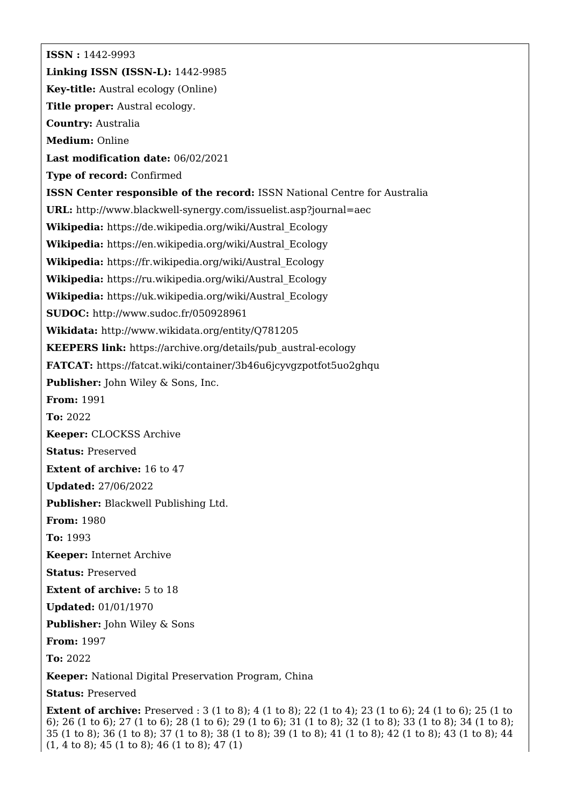**ISSN :** 1442-9993 **Linking ISSN (ISSN-L):** 1442-9985 **Key-title:** Austral ecology (Online) **Title proper:** Austral ecology. **Country:** Australia **Medium:** Online **Last modification date:** 06/02/2021 **Type of record:** Confirmed **ISSN Center responsible of the record:** ISSN National Centre for Australia **URL:** <http://www.blackwell-synergy.com/issuelist.asp?journal=aec> **Wikipedia:** [https://de.wikipedia.org/wiki/Austral\\_Ecology](https://de.wikipedia.org/wiki/Austral_Ecology) **Wikipedia:** [https://en.wikipedia.org/wiki/Austral\\_Ecology](https://en.wikipedia.org/wiki/Austral_Ecology) **Wikipedia:** [https://fr.wikipedia.org/wiki/Austral\\_Ecology](https://fr.wikipedia.org/wiki/Austral_Ecology) **Wikipedia:** [https://ru.wikipedia.org/wiki/Austral\\_Ecology](https://ru.wikipedia.org/wiki/Austral_Ecology) **Wikipedia:** [https://uk.wikipedia.org/wiki/Austral\\_Ecology](https://uk.wikipedia.org/wiki/Austral_Ecology) **SUDOC:** <http://www.sudoc.fr/050928961> **Wikidata:** <http://www.wikidata.org/entity/Q781205> **KEEPERS link:** [https://archive.org/details/pub\\_austral-ecology](https://archive.org/details/pub_austral-ecology) **FATCAT:** <https://fatcat.wiki/container/3b46u6jcyvgzpotfot5uo2ghqu> **Publisher:** John Wiley & Sons, Inc. **From:** 1991 **To:** 2022 **Keeper:** CLOCKSS Archive **Status:** Preserved **Extent of archive:** 16 to 47 **Updated:** 27/06/2022 **Publisher:** Blackwell Publishing Ltd. **From:** 1980 **To:** 1993 **Keeper:** Internet Archive **Status:** Preserved **Extent of archive:** 5 to 18 **Updated:** 01/01/1970 **Publisher:** John Wiley & Sons **From:** 1997 **To:** 2022 **Keeper:** National Digital Preservation Program, China **Status:** Preserved

**Extent of archive:** Preserved : 3 (1 to 8); 4 (1 to 8); 22 (1 to 4); 23 (1 to 6); 24 (1 to 6); 25 (1 to 6); 26 (1 to 6); 27 (1 to 6); 28 (1 to 6); 29 (1 to 6); 31 (1 to 8); 32 (1 to 8); 33 (1 to 8); 34 (1 to 8); 35 (1 to 8); 36 (1 to 8); 37 (1 to 8); 38 (1 to 8); 39 (1 to 8); 41 (1 to 8); 42 (1 to 8); 43 (1 to 8); 44 (1, 4 to 8); 45 (1 to 8); 46 (1 to 8); 47 (1)